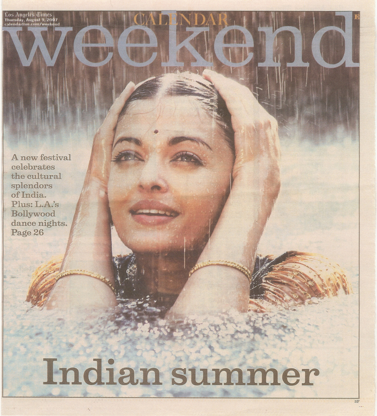l'os Angeles Cimes<br>Thursday, August 9, 2007<br>calendarlive.com/weekend

A new festival celebrates the cultural<br>splendors of India.<br>Plus: L.A.'s Bollywood dance nights. Page 26

'.

# **Indian SUInl11er**

•